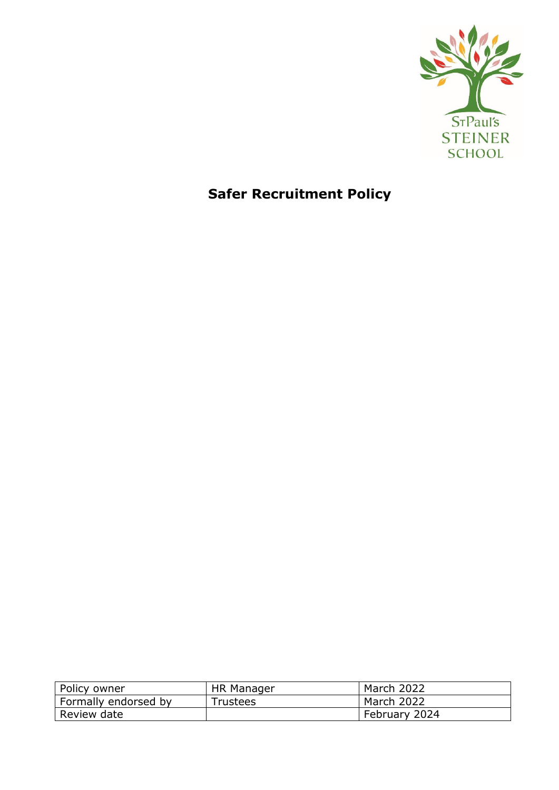

# **Safer Recruitment Policy**

| Policy owner         | HR Manager      | March 2022    |
|----------------------|-----------------|---------------|
| Formally endorsed by | <b>Trustees</b> | March 2022    |
| Review date          |                 | February 2024 |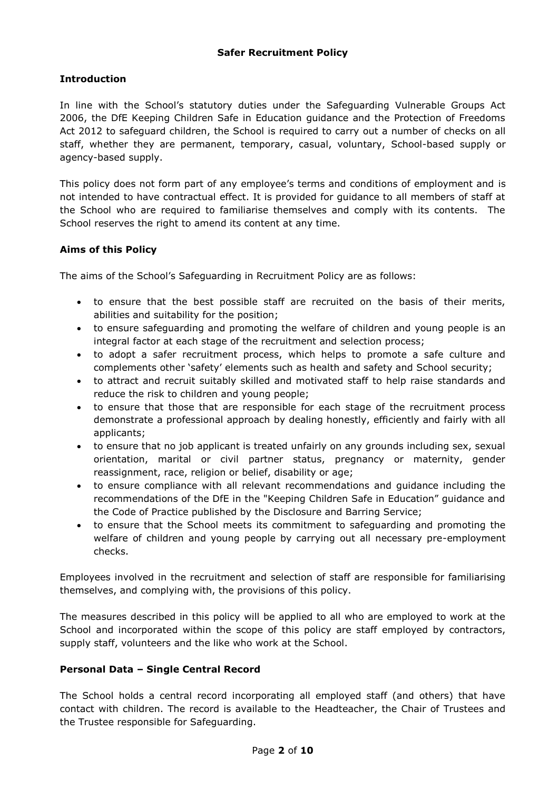## **Introduction**

In line with the School's statutory duties under the Safeguarding Vulnerable Groups Act 2006, the DfE Keeping Children Safe in Education guidance and the Protection of Freedoms Act 2012 to safeguard children, the School is required to carry out a number of checks on all staff, whether they are permanent, temporary, casual, voluntary, School-based supply or agency-based supply.

This policy does not form part of any employee's terms and conditions of employment and is not intended to have contractual effect. It is provided for guidance to all members of staff at the School who are required to familiarise themselves and comply with its contents. The School reserves the right to amend its content at any time.

# **Aims of this Policy**

The aims of the School's Safeguarding in Recruitment Policy are as follows:

- to ensure that the best possible staff are recruited on the basis of their merits, abilities and suitability for the position;
- to ensure safeguarding and promoting the welfare of children and young people is an integral factor at each stage of the recruitment and selection process;
- to adopt a safer recruitment process, which helps to promote a safe culture and complements other 'safety' elements such as health and safety and School security;
- to attract and recruit suitably skilled and motivated staff to help raise standards and reduce the risk to children and young people;
- to ensure that those that are responsible for each stage of the recruitment process demonstrate a professional approach by dealing honestly, efficiently and fairly with all applicants;
- to ensure that no job applicant is treated unfairly on any grounds including sex, sexual orientation, marital or civil partner status, pregnancy or maternity, gender reassignment, race, religion or belief, disability or age;
- to ensure compliance with all relevant recommendations and guidance including the recommendations of the DfE in the "Keeping Children Safe in Education" guidance and the Code of Practice published by the Disclosure and Barring Service;
- to ensure that the School meets its commitment to safeguarding and promoting the welfare of children and young people by carrying out all necessary pre-employment checks.

Employees involved in the recruitment and selection of staff are responsible for familiarising themselves, and complying with, the provisions of this policy.

The measures described in this policy will be applied to all who are employed to work at the School and incorporated within the scope of this policy are staff employed by contractors, supply staff, volunteers and the like who work at the School.

## **Personal Data – Single Central Record**

The School holds a central record incorporating all employed staff (and others) that have contact with children. The record is available to the Headteacher, the Chair of Trustees and the Trustee responsible for Safeguarding.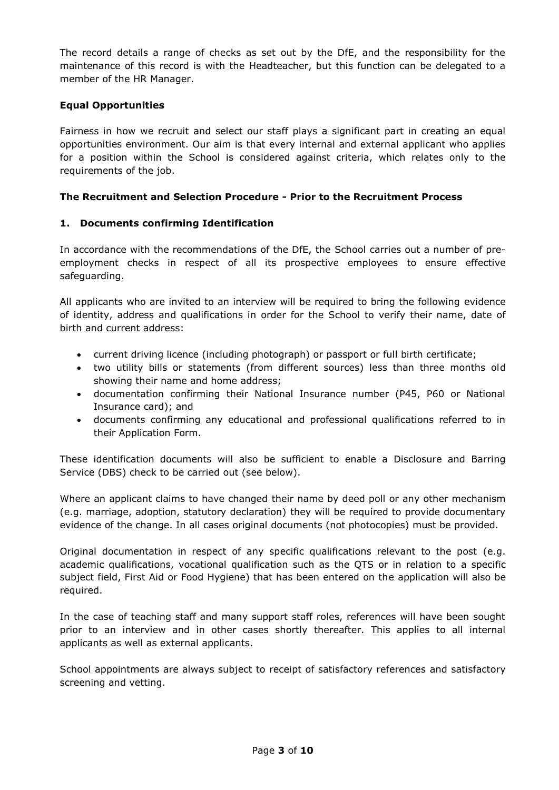The record details a range of checks as set out by the DfE, and the responsibility for the maintenance of this record is with the Headteacher, but this function can be delegated to a member of the HR Manager.

## **Equal Opportunities**

Fairness in how we recruit and select our staff plays a significant part in creating an equal opportunities environment. Our aim is that every internal and external applicant who applies for a position within the School is considered against criteria, which relates only to the requirements of the job.

## **The Recruitment and Selection Procedure - Prior to the Recruitment Process**

## **1. Documents confirming Identification**

In accordance with the recommendations of the DfE, the School carries out a number of preemployment checks in respect of all its prospective employees to ensure effective safeguarding.

All applicants who are invited to an interview will be required to bring the following evidence of identity, address and qualifications in order for the School to verify their name, date of birth and current address:

- current driving licence (including photograph) or passport or full birth certificate;
- two utility bills or statements (from different sources) less than three months old showing their name and home address;
- documentation confirming their National Insurance number (P45, P60 or National Insurance card); and
- documents confirming any educational and professional qualifications referred to in their Application Form.

These identification documents will also be sufficient to enable a Disclosure and Barring Service (DBS) check to be carried out (see below).

Where an applicant claims to have changed their name by deed poll or any other mechanism (e.g. marriage, adoption, statutory declaration) they will be required to provide documentary evidence of the change. In all cases original documents (not photocopies) must be provided.

Original documentation in respect of any specific qualifications relevant to the post (e.g. academic qualifications, vocational qualification such as the QTS or in relation to a specific subject field, First Aid or Food Hygiene) that has been entered on the application will also be required.

In the case of teaching staff and many support staff roles, references will have been sought prior to an interview and in other cases shortly thereafter. This applies to all internal applicants as well as external applicants.

School appointments are always subject to receipt of satisfactory references and satisfactory screening and vetting.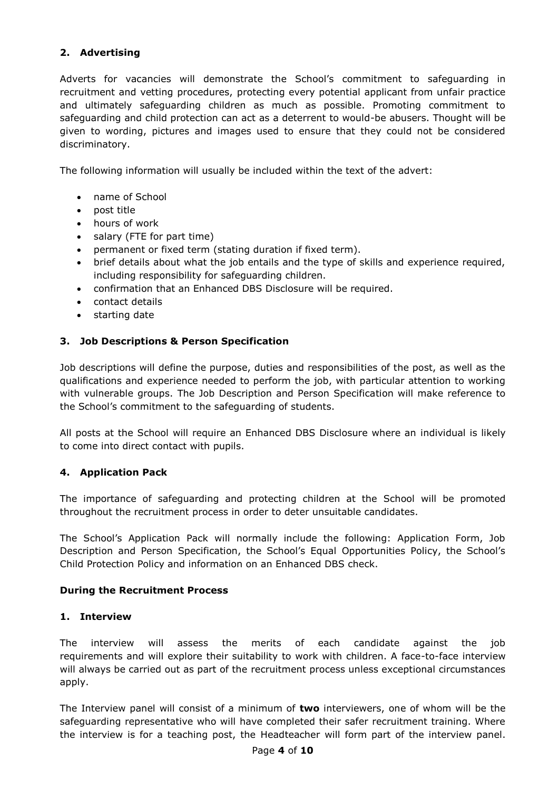# **2. Advertising**

Adverts for vacancies will demonstrate the School's commitment to safeguarding in recruitment and vetting procedures, protecting every potential applicant from unfair practice and ultimately safeguarding children as much as possible. Promoting commitment to safeguarding and child protection can act as a deterrent to would-be abusers. Thought will be given to wording, pictures and images used to ensure that they could not be considered discriminatory.

The following information will usually be included within the text of the advert:

- name of School
- post title
- hours of work
- salary (FTE for part time)
- permanent or fixed term (stating duration if fixed term).
- brief details about what the job entails and the type of skills and experience required, including responsibility for safeguarding children.
- confirmation that an Enhanced DBS Disclosure will be required.
- contact details
- starting date

## **3. Job Descriptions & Person Specification**

Job descriptions will define the purpose, duties and responsibilities of the post, as well as the qualifications and experience needed to perform the job, with particular attention to working with vulnerable groups. The Job Description and Person Specification will make reference to the School's commitment to the safeguarding of students.

All posts at the School will require an Enhanced DBS Disclosure where an individual is likely to come into direct contact with pupils.

## **4. Application Pack**

The importance of safeguarding and protecting children at the School will be promoted throughout the recruitment process in order to deter unsuitable candidates.

The School's Application Pack will normally include the following: Application Form, Job Description and Person Specification, the School's Equal Opportunities Policy, the School's Child Protection Policy and information on an Enhanced DBS check.

## **During the Recruitment Process**

## **1. Interview**

The interview will assess the merits of each candidate against the job requirements and will explore their suitability to work with children. A face-to-face interview will always be carried out as part of the recruitment process unless exceptional circumstances apply.

The Interview panel will consist of a minimum of **two** interviewers, one of whom will be the safeguarding representative who will have completed their safer recruitment training. Where the interview is for a teaching post, the Headteacher will form part of the interview panel.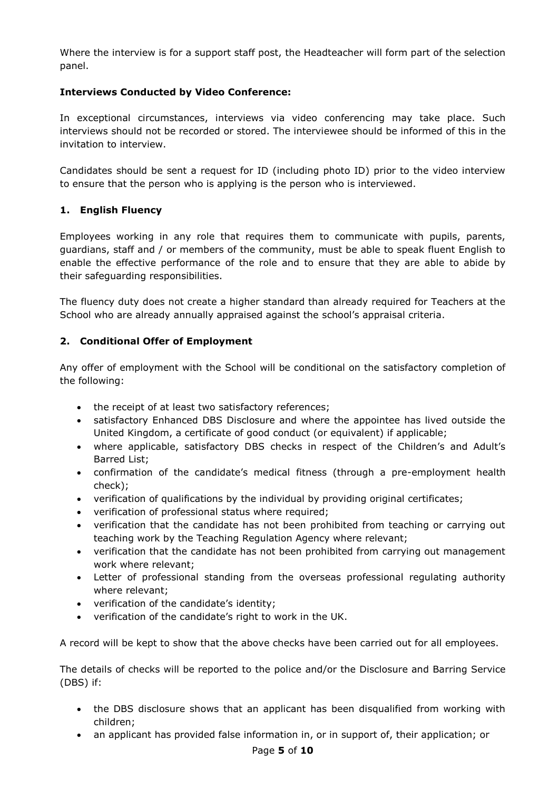Where the interview is for a support staff post, the Headteacher will form part of the selection panel.

# **Interviews Conducted by Video Conference:**

In exceptional circumstances, interviews via video conferencing may take place. Such interviews should not be recorded or stored. The interviewee should be informed of this in the invitation to interview.

Candidates should be sent a request for ID (including photo ID) prior to the video interview to ensure that the person who is applying is the person who is interviewed.

# **1. English Fluency**

Employees working in any role that requires them to communicate with pupils, parents, guardians, staff and / or members of the community, must be able to speak fluent English to enable the effective performance of the role and to ensure that they are able to abide by their safeguarding responsibilities.

The fluency duty does not create a higher standard than already required for Teachers at the School who are already annually appraised against the school's appraisal criteria.

# **2. Conditional Offer of Employment**

Any offer of employment with the School will be conditional on the satisfactory completion of the following:

- the receipt of at least two satisfactory references:
- satisfactory Enhanced DBS Disclosure and where the appointee has lived outside the United Kingdom, a certificate of good conduct (or equivalent) if applicable;
- where applicable, satisfactory DBS checks in respect of the Children's and Adult's Barred List;
- confirmation of the candidate's medical fitness (through a pre-employment health check);
- verification of qualifications by the individual by providing original certificates;
- verification of professional status where required;
- verification that the candidate has not been prohibited from teaching or carrying out teaching work by the Teaching Regulation Agency where relevant;
- verification that the candidate has not been prohibited from carrying out management work where relevant;
- Letter of professional standing from the overseas professional regulating authority where relevant;
- verification of the candidate's identity;
- verification of the candidate's right to work in the UK.

A record will be kept to show that the above checks have been carried out for all employees.

The details of checks will be reported to the police and/or the Disclosure and Barring Service (DBS) if:

- the DBS disclosure shows that an applicant has been disqualified from working with children;
- an applicant has provided false information in, or in support of, their application; or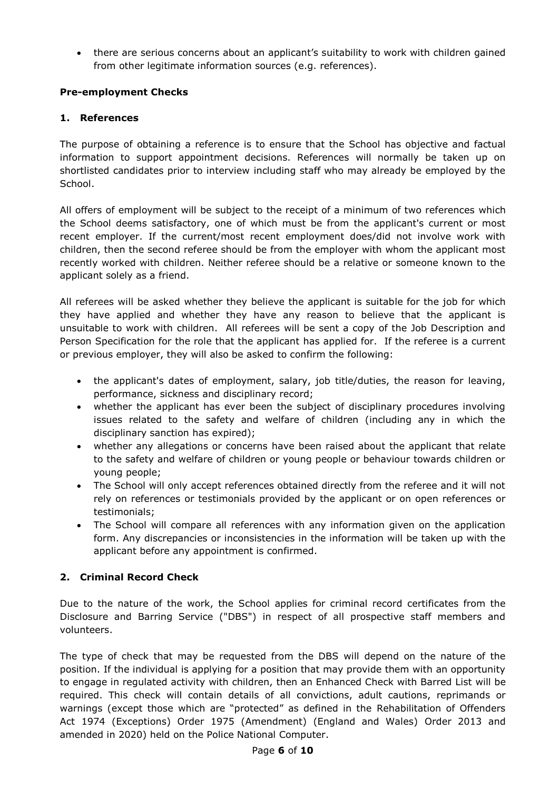there are serious concerns about an applicant's suitability to work with children gained from other legitimate information sources (e.g. references).

# **Pre-employment Checks**

# **1. References**

The purpose of obtaining a reference is to ensure that the School has objective and factual information to support appointment decisions. References will normally be taken up on shortlisted candidates prior to interview including staff who may already be employed by the School.

All offers of employment will be subject to the receipt of a minimum of two references which the School deems satisfactory, one of which must be from the applicant's current or most recent employer. If the current/most recent employment does/did not involve work with children, then the second referee should be from the employer with whom the applicant most recently worked with children. Neither referee should be a relative or someone known to the applicant solely as a friend.

All referees will be asked whether they believe the applicant is suitable for the job for which they have applied and whether they have any reason to believe that the applicant is unsuitable to work with children. All referees will be sent a copy of the Job Description and Person Specification for the role that the applicant has applied for. If the referee is a current or previous employer, they will also be asked to confirm the following:

- the applicant's dates of employment, salary, job title/duties, the reason for leaving, performance, sickness and disciplinary record;
- whether the applicant has ever been the subject of disciplinary procedures involving issues related to the safety and welfare of children (including any in which the disciplinary sanction has expired);
- whether any allegations or concerns have been raised about the applicant that relate to the safety and welfare of children or young people or behaviour towards children or young people;
- The School will only accept references obtained directly from the referee and it will not rely on references or testimonials provided by the applicant or on open references or testimonials;
- The School will compare all references with any information given on the application form. Any discrepancies or inconsistencies in the information will be taken up with the applicant before any appointment is confirmed.

# **2. Criminal Record Check**

Due to the nature of the work, the School applies for criminal record certificates from the Disclosure and Barring Service ("DBS") in respect of all prospective staff members and volunteers.

The type of check that may be requested from the DBS will depend on the nature of the position. If the individual is applying for a position that may provide them with an opportunity to engage in regulated activity with children, then an Enhanced Check with Barred List will be required. This check will contain details of all convictions, adult cautions, reprimands or warnings (except those which are "protected" as defined in the Rehabilitation of Offenders Act 1974 (Exceptions) Order 1975 (Amendment) (England and Wales) Order 2013 and amended in 2020) held on the Police National Computer.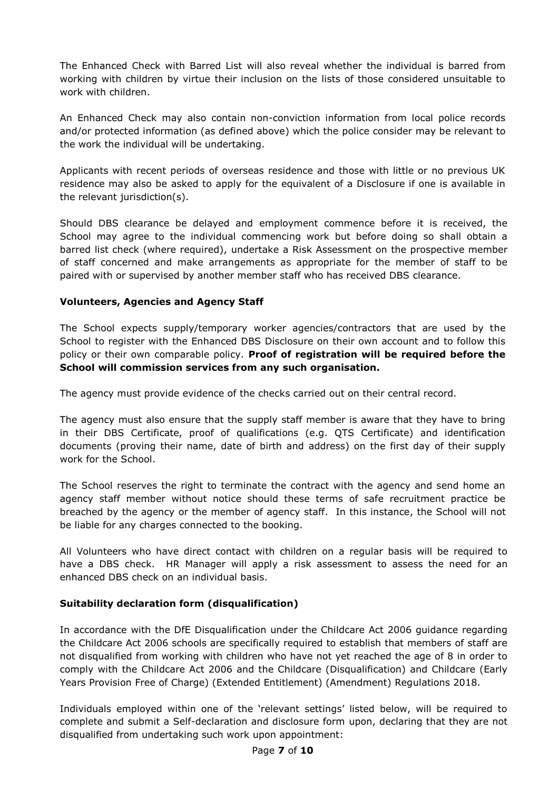The Enhanced Check with Barred List will also reveal whether the individual is barred from working with children by virtue their inclusion on the lists of those considered unsuitable to work with children.

An Enhanced Check may also contain non-conviction information from local police records and/or protected information (as defined above) which the police consider may be relevant to the work the individual will be undertaking.

Applicants with recent periods of overseas residence and those with little or no previous UK residence may also be asked to apply for the equivalent of a Disclosure if one is available in the relevant jurisdiction(s).

Should DBS clearance be delayed and employment commence before it is received, the School may agree to the individual commencing work but before doing so shall obtain a barred list check (where required), undertake a Risk Assessment on the prospective member of staff concerned and make arrangements as appropriate for the member of staff to be paired with or supervised by another member staff who has received DBS clearance.

## **Volunteers, Agencies and Agency Staff**

The School expects supply/temporary worker agencies/contractors that are used by the School to register with the Enhanced DBS Disclosure on their own account and to follow this policy or their own comparable policy. **Proof of registration will be required before the School will commission services from any such organisation.**

The agency must provide evidence of the checks carried out on their central record.

The agency must also ensure that the supply staff member is aware that they have to bring in their DBS Certificate, proof of qualifications (e.g. QTS Certificate) and identification documents (proving their name, date of birth and address) on the first day of their supply work for the School.

The School reserves the right to terminate the contract with the agency and send home an agency staff member without notice should these terms of safe recruitment practice be breached by the agency or the member of agency staff. In this instance, the School will not be liable for any charges connected to the booking.

All Volunteers who have direct contact with children on a regular basis will be required to have a DBS check. HR Manager will apply a risk assessment to assess the need for an enhanced DBS check on an individual basis.

## **Suitability declaration form (disqualification)**

In accordance with the DfE Disqualification under the Childcare Act 2006 guidance regarding the Childcare Act 2006 schools are specifically required to establish that members of staff are not disqualified from working with children who have not yet reached the age of 8 in order to comply with the Childcare Act 2006 and the Childcare (Disqualification) and Childcare (Early Years Provision Free of Charge) (Extended Entitlement) (Amendment) Regulations 2018.

Individuals employed within one of the 'relevant settings' listed below, will be required to complete and submit a Self-declaration and disclosure form upon, declaring that they are not disqualified from undertaking such work upon appointment: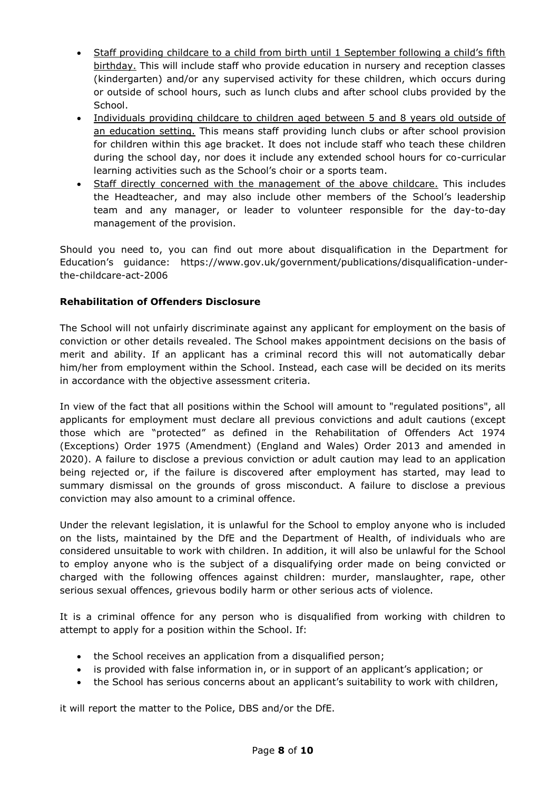- Staff providing childcare to a child from birth until 1 September following a child's fifth birthday. This will include staff who provide education in nursery and reception classes (kindergarten) and/or any supervised activity for these children, which occurs during or outside of school hours, such as lunch clubs and after school clubs provided by the School.
- Individuals providing childcare to children aged between 5 and 8 years old outside of an education setting. This means staff providing lunch clubs or after school provision for children within this age bracket. It does not include staff who teach these children during the school day, nor does it include any extended school hours for co-curricular learning activities such as the School's choir or a sports team.
- Staff directly concerned with the management of the above childcare. This includes the Headteacher, and may also include other members of the School's leadership team and any manager, or leader to volunteer responsible for the day-to-day management of the provision.

Should you need to, you can find out more about disqualification in the Department for Education's guidance: [https://www.gov.uk/government/publications/disqualification-under](https://www.gov.uk/government/publications/disqualification-under-the-childcare-act-2006)[the-childcare-act-2006](https://www.gov.uk/government/publications/disqualification-under-the-childcare-act-2006)

## **Rehabilitation of Offenders Disclosure**

The School will not unfairly discriminate against any applicant for employment on the basis of conviction or other details revealed. The School makes appointment decisions on the basis of merit and ability. If an applicant has a criminal record this will not automatically debar him/her from employment within the School. Instead, each case will be decided on its merits in accordance with the objective assessment criteria.

In view of the fact that all positions within the School will amount to "regulated positions", all applicants for employment must declare all previous convictions and adult cautions (except those which are "protected" as defined in the Rehabilitation of Offenders Act 1974 (Exceptions) Order 1975 (Amendment) (England and Wales) Order 2013 and amended in 2020). A failure to disclose a previous conviction or adult caution may lead to an application being rejected or, if the failure is discovered after employment has started, may lead to summary dismissal on the grounds of gross misconduct. A failure to disclose a previous conviction may also amount to a criminal offence.

Under the relevant legislation, it is unlawful for the School to employ anyone who is included on the lists, maintained by the DfE and the Department of Health, of individuals who are considered unsuitable to work with children. In addition, it will also be unlawful for the School to employ anyone who is the subject of a disqualifying order made on being convicted or charged with the following offences against children: murder, manslaughter, rape, other serious sexual offences, grievous bodily harm or other serious acts of violence.

It is a criminal offence for any person who is disqualified from working with children to attempt to apply for a position within the School. If:

- the School receives an application from a disqualified person;
- is provided with false information in, or in support of an applicant's application; or
- the School has serious concerns about an applicant's suitability to work with children,

it will report the matter to the Police, DBS and/or the DfE.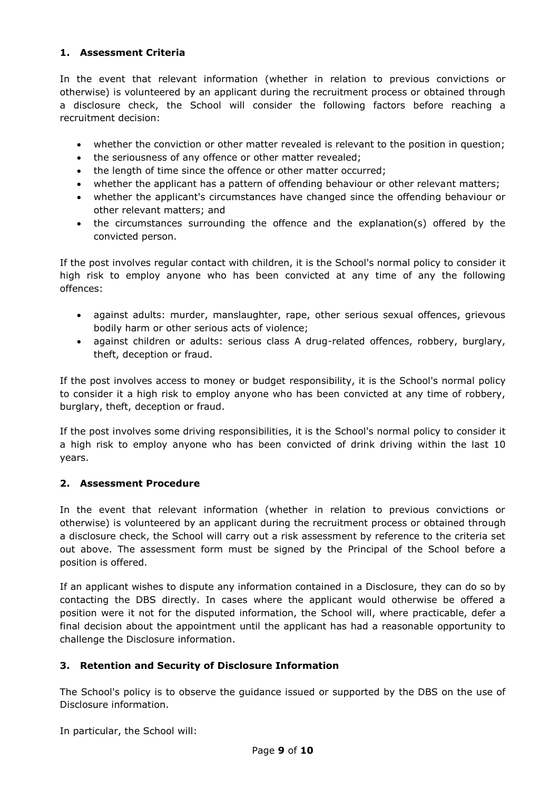## **1. Assessment Criteria**

In the event that relevant information (whether in relation to previous convictions or otherwise) is volunteered by an applicant during the recruitment process or obtained through a disclosure check, the School will consider the following factors before reaching a recruitment decision:

- whether the conviction or other matter revealed is relevant to the position in question;
- the seriousness of any offence or other matter revealed;
- the length of time since the offence or other matter occurred;
- whether the applicant has a pattern of offending behaviour or other relevant matters;
- whether the applicant's circumstances have changed since the offending behaviour or other relevant matters; and
- the circumstances surrounding the offence and the explanation(s) offered by the convicted person.

If the post involves regular contact with children, it is the School's normal policy to consider it high risk to employ anyone who has been convicted at any time of any the following offences:

- against adults: murder, manslaughter, rape, other serious sexual offences, grievous bodily harm or other serious acts of violence;
- against children or adults: serious class A drug-related offences, robbery, burglary, theft, deception or fraud.

If the post involves access to money or budget responsibility, it is the School's normal policy to consider it a high risk to employ anyone who has been convicted at any time of robbery, burglary, theft, deception or fraud.

If the post involves some driving responsibilities, it is the School's normal policy to consider it a high risk to employ anyone who has been convicted of drink driving within the last 10 years.

## **2. Assessment Procedure**

In the event that relevant information (whether in relation to previous convictions or otherwise) is volunteered by an applicant during the recruitment process or obtained through a disclosure check, the School will carry out a risk assessment by reference to the criteria set out above. The assessment form must be signed by the Principal of the School before a position is offered.

If an applicant wishes to dispute any information contained in a Disclosure, they can do so by contacting the DBS directly. In cases where the applicant would otherwise be offered a position were it not for the disputed information, the School will, where practicable, defer a final decision about the appointment until the applicant has had a reasonable opportunity to challenge the Disclosure information.

## **3. Retention and Security of Disclosure Information**

The School's policy is to observe the guidance issued or supported by the DBS on the use of Disclosure information.

In particular, the School will: